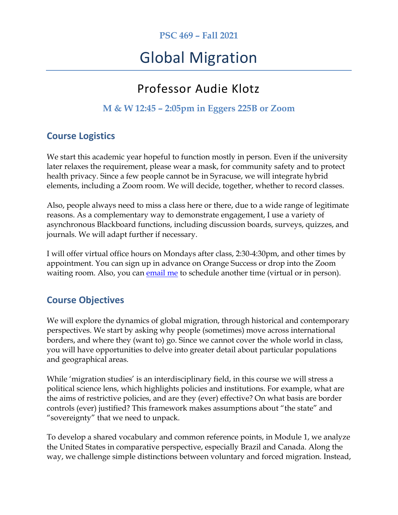## **PSC 469 – Fall 2021**

# Global Migration

## Professor Audie Klotz

## **M & W 12:45 – 2:05pm in Eggers 225B or Zoom**

## **Course Logistics**

We start this academic year hopeful to function mostly in person. Even if the university later relaxes the requirement, please wear a mask, for community safety and to protect health privacy. Since a few people cannot be in Syracuse, we will integrate hybrid elements, including a Zoom room. We will decide, together, whether to record classes.

Also, people always need to miss a class here or there, due to a wide range of legitimate reasons. As a complementary way to demonstrate engagement, I use a variety of asynchronous Blackboard functions, including discussion boards, surveys, quizzes, and journals. We will adapt further if necessary.

I will offer virtual office hours on Mondays after class, 2:30-4:30pm, and other times by appointment. You can sign up in advance on Orange Success or drop into the Zoom waiting room. Also, you can [email me](mailto:aklotz@syr.edu?subject=Global%20Migration%20class) to schedule another time (virtual or in person).

## **Course Objectives**

We will explore the dynamics of global migration, through historical and contemporary perspectives. We start by asking why people (sometimes) move across international borders, and where they (want to) go. Since we cannot cover the whole world in class, you will have opportunities to delve into greater detail about particular populations and geographical areas.

While 'migration studies' is an interdisciplinary field, in this course we will stress a political science lens, which highlights policies and institutions. For example, what are the aims of restrictive policies, and are they (ever) effective? On what basis are border controls (ever) justified? This framework makes assumptions about "the state" and "sovereignty" that we need to unpack.

To develop a shared vocabulary and common reference points, in Module 1, we analyze the United States in comparative perspective, especially Brazil and Canada. Along the way, we challenge simple distinctions between voluntary and forced migration. Instead,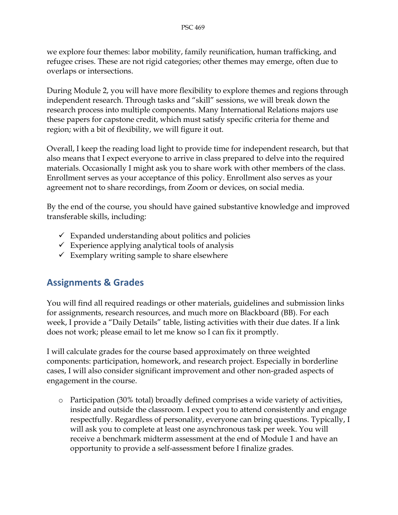we explore four themes: labor mobility, family reunification, human trafficking, and refugee crises. These are not rigid categories; other themes may emerge, often due to overlaps or intersections.

During Module 2, you will have more flexibility to explore themes and regions through independent research. Through tasks and "skill" sessions, we will break down the research process into multiple components. Many International Relations majors use these papers for capstone credit, which must satisfy specific criteria for theme and region; with a bit of flexibility, we will figure it out.

Overall, I keep the reading load light to provide time for independent research, but that also means that I expect everyone to arrive in class prepared to delve into the required materials. Occasionally I might ask you to share work with other members of the class. Enrollment serves as your acceptance of this policy. Enrollment also serves as your agreement not to share recordings, from Zoom or devices, on social media.

By the end of the course, you should have gained substantive knowledge and improved transferable skills, including:

- $\checkmark$  Expanded understanding about politics and policies
- $\checkmark$  Experience applying analytical tools of analysis
- $\checkmark$  Exemplary writing sample to share elsewhere

## **Assignments & Grades**

You will find all required readings or other materials, guidelines and submission links for assignments, research resources, and much more on Blackboard (BB). For each week, I provide a "Daily Details" table, listing activities with their due dates. If a link does not work; please email to let me know so I can fix it promptly.

I will calculate grades for the course based approximately on three weighted components: participation, homework, and research project. Especially in borderline cases, I will also consider significant improvement and other non-graded aspects of engagement in the course.

o Participation (30% total) broadly defined comprises a wide variety of activities, inside and outside the classroom. I expect you to attend consistently and engage respectfully. Regardless of personality, everyone can bring questions. Typically, I will ask you to complete at least one asynchronous task per week. You will receive a benchmark midterm assessment at the end of Module 1 and have an opportunity to provide a self-assessment before I finalize grades.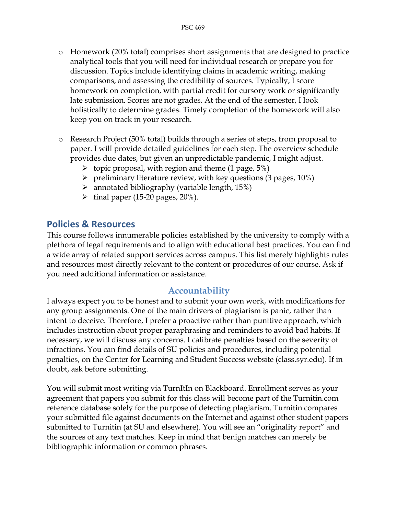- o Homework (20% total) comprises short assignments that are designed to practice analytical tools that you will need for individual research or prepare you for discussion. Topics include identifying claims in academic writing, making comparisons, and assessing the credibility of sources. Typically, I score homework on completion, with partial credit for cursory work or significantly late submission. Scores are not grades. At the end of the semester, I look holistically to determine grades. Timely completion of the homework will also keep you on track in your research.
- o Research Project (50% total) builds through a series of steps, from proposal to paper. I will provide detailed guidelines for each step. The overview schedule provides due dates, but given an unpredictable pandemic, I might adjust.
	- $\triangleright$  topic proposal, with region and theme (1 page, 5%)
	- $\triangleright$  preliminary literature review, with key questions (3 pages, 10%)
	- $\triangleright$  annotated bibliography (variable length, 15%)
	- $\triangleright$  final paper (15-20 pages, 20%).

## **Policies & Resources**

This course follows innumerable policies established by the university to comply with a plethora of legal requirements and to align with educational best practices. You can find a wide array of related support services across campus. This list merely highlights rules and resources most directly relevant to the content or procedures of our course. Ask if you need additional information or assistance.

#### **Accountability**

I always expect you to be honest and to submit your own work, with modifications for any group assignments. One of the main drivers of plagiarism is panic, rather than intent to deceive. Therefore, I prefer a proactive rather than punitive approach, which includes instruction about proper paraphrasing and reminders to avoid bad habits. If necessary, we will discuss any concerns. I calibrate penalties based on the severity of infractions. You can find details of SU policies and procedures, including potential penalties, on the Center for Learning and Student Success website (class.syr.edu). If in doubt, ask before submitting.

You will submit most writing via TurnItIn on Blackboard. Enrollment serves as your agreement that papers you submit for this class will become part of the Turnitin.com reference database solely for the purpose of detecting plagiarism. Turnitin compares your submitted file against documents on the Internet and against other student papers submitted to Turnitin (at SU and elsewhere). You will see an "originality report" and the sources of any text matches. Keep in mind that benign matches can merely be bibliographic information or common phrases.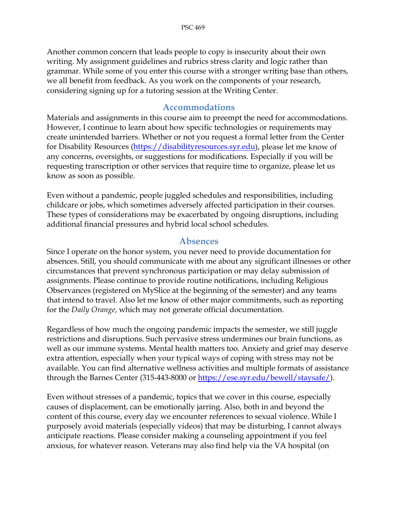Another common concern that leads people to copy is insecurity about their own writing. My assignment guidelines and rubrics stress clarity and logic rather than grammar. While some of you enter this course with a stronger writing base than others, we all benefit from feedback. As you work on the components of your research, considering signing up for a tutoring session at the Writing Center.

#### **Accommodations**

Materials and assignments in this course aim to preempt the need for accommodations. However, I continue to learn about how specific technologies or requirements may create unintended barriers. Whether or not you request a formal letter from the Center for Disability Resources [\(https://disabilityresources.syr.edu\)](https://disabilityresources.syr.edu/), please let me know of any concerns, oversights, or suggestions for modifications. Especially if you will be requesting transcription or other services that require time to organize, please let us know as soon as possible.

Even without a pandemic, people juggled schedules and responsibilities, including childcare or jobs, which sometimes adversely affected participation in their courses. These types of considerations may be exacerbated by ongoing disruptions, including additional financial pressures and hybrid local school schedules.

#### **Absences**

Since I operate on the honor system, you never need to provide documentation for absences. Still, you should communicate with me about any significant illnesses or other circumstances that prevent synchronous participation or may delay submission of assignments. Please continue to provide routine notifications, including Religious Observances (registered on MySlice at the beginning of the semester) and any teams that intend to travel. Also let me know of other major commitments, such as reporting for the *Daily Orange*, which may not generate official documentation.

Regardless of how much the ongoing pandemic impacts the semester, we still juggle restrictions and disruptions. Such pervasive stress undermines our brain functions, as well as our immune systems. Mental health matters too. Anxiety and grief may deserve extra attention, especially when your typical ways of coping with stress may not be available. You can find alternative wellness activities and multiple formats of assistance through the Barnes Center (315-443-8000 or <u>https://ese.syr.edu/bewell/staysafe/</u>).

Even without stresses of a pandemic, topics that we cover in this course, especially causes of displacement, can be emotionally jarring. Also, both in and beyond the content of this course, every day we encounter references to sexual violence. While I purposely avoid materials (especially videos) that may be disturbing, I cannot always anticipate reactions. Please consider making a counseling appointment if you feel anxious, for whatever reason. Veterans may also find help via the VA hospital (on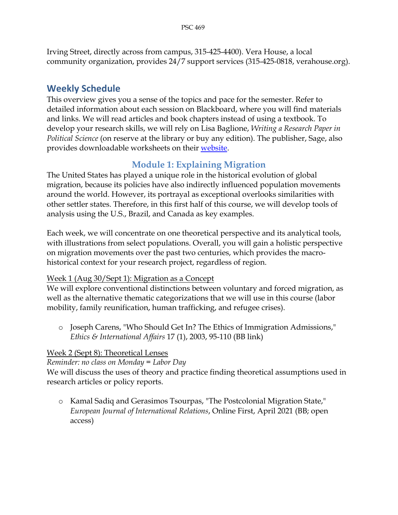Irving Street, directly across from campus, 315-425-4400). Vera House, a local community organization, provides 24/7 support services (315-425-0818, verahouse.org).

## **Weekly Schedule**

This overview gives you a sense of the topics and pace for the semester. Refer to detailed information about each session on Blackboard, where you will find materials and links. We will read articles and book chapters instead of using a textbook. To develop your research skills, we will rely on Lisa Baglione, *Writing a Research Paper in Political Science* (on reserve at the library or buy any edition). The publisher, Sage, also provides downloadable worksheets on their [website.](https://edge.sagepub.com/baglione4e/student-resources-0)

## **Module 1: Explaining Migration**

The United States has played a unique role in the historical evolution of global migration, because its policies have also indirectly influenced population movements around the world. However, its portrayal as exceptional overlooks similarities with other settler states. Therefore, in this first half of this course, we will develop tools of analysis using the U.S., Brazil, and Canada as key examples.

Each week, we will concentrate on one theoretical perspective and its analytical tools, with illustrations from select populations. Overall, you will gain a holistic perspective on migration movements over the past two centuries, which provides the macrohistorical context for your research project, regardless of region.

#### Week 1 (Aug 30/Sept 1): Migration as a Concept

We will explore conventional distinctions between voluntary and forced migration, as well as the alternative thematic categorizations that we will use in this course (labor mobility, family reunification, human trafficking, and refugee crises).

o Joseph Carens, "Who Should Get In? The Ethics of Immigration Admissions," *Ethics & International Affairs* 17 (1), 2003, 95-110 (BB link)

## Week 2 (Sept 8): Theoretical Lenses

*Reminder: no class on Monday = Labor Day*

We will discuss the uses of theory and practice finding theoretical assumptions used in research articles or policy reports.

o Kamal Sadiq and Gerasimos Tsourpas, "The Postcolonial Migration State," *European Journal of International Relations*, Online First, April 2021 (BB; open access)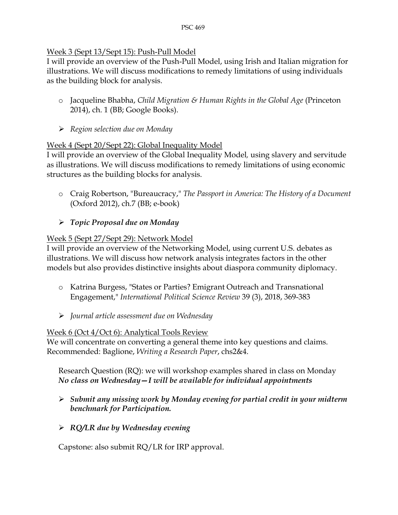#### Week 3 (Sept 13/Sept 15): Push-Pull Model

I will provide an overview of the Push-Pull Model, using Irish and Italian migration for illustrations. We will discuss modifications to remedy limitations of using individuals as the building block for analysis.

- o Jacqueline Bhabha, *Child Migration & Human Rights in the Global Age* (Princeton 2014), ch. 1 (BB; Google Books).
- *Region selection due on Monday*

#### Week 4 (Sept 20/Sept 22): Global Inequality Model

I will provide an overview of the Global Inequality Model*,* using slavery and servitude as illustrations. We will discuss modifications to remedy limitations of using economic structures as the building blocks for analysis.

o Craig Robertson, "Bureaucracy," *The Passport in America: The History of a Document* (Oxford 2012), ch.7 (BB; e-book)

#### *Topic Proposal due on Monday*

#### Week 5 (Sept 27/Sept 29): Network Model

I will provide an overview of the Networking Model, using current U.S. debates as illustrations. We will discuss how network analysis integrates factors in the other models but also provides distinctive insights about diaspora community diplomacy.

- o Katrina Burgess, "States or Parties? Emigrant Outreach and Transnational Engagement," *International Political Science Review* 39 (3), 2018, 369-383
- *Journal article assessment due on Wednesday*

#### Week 6 (Oct 4/Oct 6): Analytical Tools Review

We will concentrate on converting a general theme into key questions and claims. Recommended: Baglione, *Writing a Research Paper*, chs2&4.

Research Question (RQ): we will workshop examples shared in class on Monday *No class on Wednesday—I will be available for individual appointments*

- *Submit any missing work by Monday evening for partial credit in your midterm benchmark for Participation.*
- *RQ/LR due by Wednesday evening*

Capstone: also submit RQ/LR for IRP approval.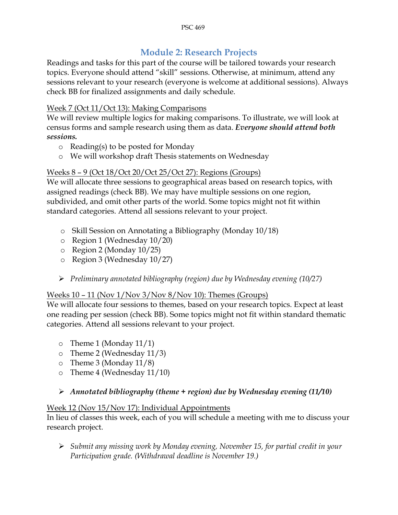## **Module 2: Research Projects**

Readings and tasks for this part of the course will be tailored towards your research topics. Everyone should attend "skill" sessions. Otherwise, at minimum, attend any sessions relevant to your research (everyone is welcome at additional sessions). Always check BB for finalized assignments and daily schedule.

#### Week 7 (Oct 11/Oct 13): Making Comparisons

We will review multiple logics for making comparisons. To illustrate, we will look at census forms and sample research using them as data. *Everyone should attend both sessions.*

- o Reading(s) to be posted for Monday
- o We will workshop draft Thesis statements on Wednesday

#### Weeks 8 – 9 (Oct 18/Oct 20/Oct 25/Oct 27): Regions (Groups)

We will allocate three sessions to geographical areas based on research topics, with assigned readings (check BB). We may have multiple sessions on one region, subdivided, and omit other parts of the world. Some topics might not fit within standard categories. Attend all sessions relevant to your project.

- o Skill Session on Annotating a Bibliography (Monday 10/18)
- o Region 1 (Wednesday 10/20)
- o Region 2 (Monday 10/25)
- o Region 3 (Wednesday 10/27)
- *Preliminary annotated bibliography (region) due by Wednesday evening (10/27)*

#### Weeks  $10 - 11$  (Nov  $1/Nov$   $3/Nov$   $8/Nov$   $10$ ): Themes (Groups)

We will allocate four sessions to themes, based on your research topics. Expect at least one reading per session (check BB). Some topics might not fit within standard thematic categories. Attend all sessions relevant to your project.

- o Theme 1 (Monday 11/1)
- o Theme 2 (Wednesday 11/3)
- o Theme 3 (Monday 11/8)
- o Theme 4 (Wednesday 11/10)

#### *Annotated bibliography (theme + region) due by Wednesday evening (11/10)*

#### Week 12 (Nov 15/Nov 17): Individual Appointments

In lieu of classes this week, each of you will schedule a meeting with me to discuss your research project.

 *Submit any missing work by Monday evening, November 15, for partial credit in your Participation grade. (Withdrawal deadline is November 19.)*